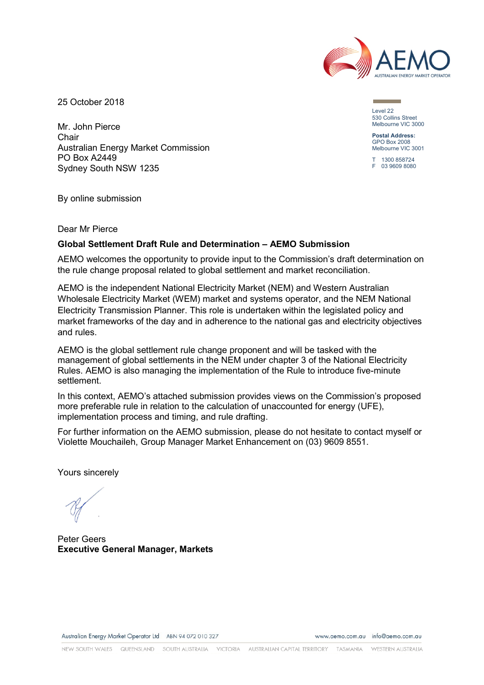

25 October 2018

Mr. John Pierce Chair Australian Energy Market Commission PO Box A2449 Sydney South NSW 1235

Level 22 530 Collins Street Melbourne VIC 3000

**Postal Address:** GPO Box 2008 Melbourne VIC 3001

 $1300 858724$ F 03 9609 8080

By online submission

Dear Mr Pierce

## **Global Settlement Draft Rule and Determination – AEMO Submission**

AEMO welcomes the opportunity to provide input to the Commission's draft determination on the rule change proposal related to global settlement and market reconciliation.

AEMO is the independent National Electricity Market (NEM) and Western Australian Wholesale Electricity Market (WEM) market and systems operator, and the NEM National Electricity Transmission Planner. This role is undertaken within the legislated policy and market frameworks of the day and in adherence to the national gas and electricity objectives and rules.

AEMO is the global settlement rule change proponent and will be tasked with the management of global settlements in the NEM under chapter 3 of the National Electricity Rules. AEMO is also managing the implementation of the Rule to introduce five-minute settlement.

In this context, AEMO's attached submission provides views on the Commission's proposed more preferable rule in relation to the calculation of unaccounted for energy (UFE), implementation process and timing, and rule drafting.

For further information on the AEMO submission, please do not hesitate to contact myself or Violette Mouchaileh, Group Manager Market Enhancement on (03) 9609 8551.

Yours sincerely

Peter Geers **Executive General Manager, Markets**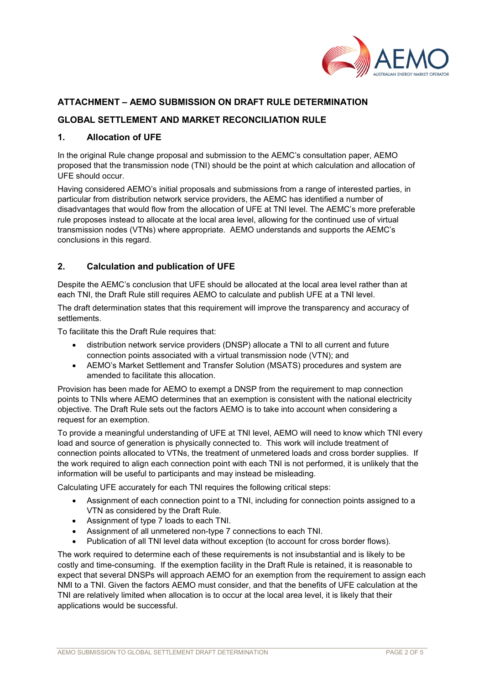

# **ATTACHMENT – AEMO SUBMISSION ON DRAFT RULE DETERMINATION**

## **GLOBAL SETTLEMENT AND MARKET RECONCILIATION RULE**

### **1. Allocation of UFE**

In the original Rule change proposal and submission to the AEMC's consultation paper, AEMO proposed that the transmission node (TNI) should be the point at which calculation and allocation of UFE should occur.

Having considered AEMO's initial proposals and submissions from a range of interested parties, in particular from distribution network service providers, the AEMC has identified a number of disadvantages that would flow from the allocation of UFE at TNI level. The AEMC's more preferable rule proposes instead to allocate at the local area level, allowing for the continued use of virtual transmission nodes (VTNs) where appropriate. AEMO understands and supports the AEMC's conclusions in this regard.

### **2. Calculation and publication of UFE**

Despite the AEMC's conclusion that UFE should be allocated at the local area level rather than at each TNI, the Draft Rule still requires AEMO to calculate and publish UFE at a TNI level.

The draft determination states that this requirement will improve the transparency and accuracy of settlements.

To facilitate this the Draft Rule requires that:

- distribution network service providers (DNSP) allocate a TNI to all current and future connection points associated with a virtual transmission node (VTN); and
- AEMO's Market Settlement and Transfer Solution (MSATS) procedures and system are amended to facilitate this allocation.

Provision has been made for AEMO to exempt a DNSP from the requirement to map connection points to TNIs where AEMO determines that an exemption is consistent with the national electricity objective. The Draft Rule sets out the factors AEMO is to take into account when considering a request for an exemption.

To provide a meaningful understanding of UFE at TNI level, AEMO will need to know which TNI every load and source of generation is physically connected to. This work will include treatment of connection points allocated to VTNs, the treatment of unmetered loads and cross border supplies. If the work required to align each connection point with each TNI is not performed, it is unlikely that the information will be useful to participants and may instead be misleading.

Calculating UFE accurately for each TNI requires the following critical steps:

- Assignment of each connection point to a TNI, including for connection points assigned to a VTN as considered by the Draft Rule.
- Assignment of type 7 loads to each TNI.
- Assignment of all unmetered non-type 7 connections to each TNI.
- Publication of all TNI level data without exception (to account for cross border flows).

The work required to determine each of these requirements is not insubstantial and is likely to be costly and time-consuming. If the exemption facility in the Draft Rule is retained, it is reasonable to expect that several DNSPs will approach AEMO for an exemption from the requirement to assign each NMI to a TNI. Given the factors AEMO must consider, and that the benefits of UFE calculation at the TNI are relatively limited when allocation is to occur at the local area level, it is likely that their applications would be successful.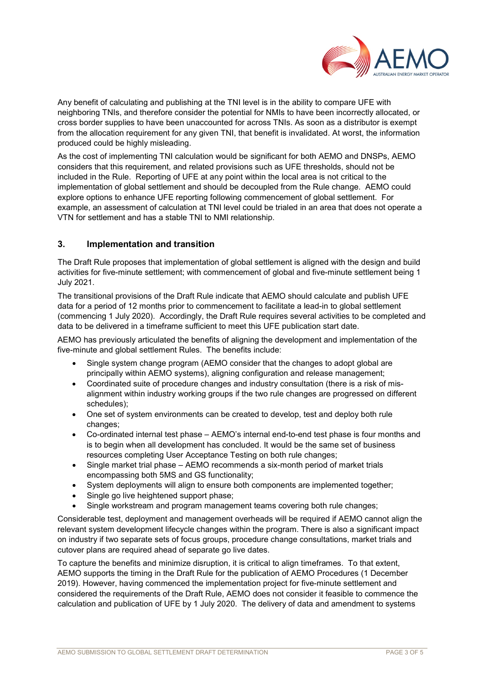

Any benefit of calculating and publishing at the TNI level is in the ability to compare UFE with neighboring TNIs, and therefore consider the potential for NMIs to have been incorrectly allocated, or cross border supplies to have been unaccounted for across TNIs. As soon as a distributor is exempt from the allocation requirement for any given TNI, that benefit is invalidated. At worst, the information produced could be highly misleading.

As the cost of implementing TNI calculation would be significant for both AEMO and DNSPs, AEMO considers that this requirement, and related provisions such as UFE thresholds, should not be included in the Rule. Reporting of UFE at any point within the local area is not critical to the implementation of global settlement and should be decoupled from the Rule change. AEMO could explore options to enhance UFE reporting following commencement of global settlement. For example, an assessment of calculation at TNI level could be trialed in an area that does not operate a VTN for settlement and has a stable TNI to NMI relationship.

## **3. Implementation and transition**

The Draft Rule proposes that implementation of global settlement is aligned with the design and build activities for five-minute settlement; with commencement of global and five-minute settlement being 1 July 2021.

The transitional provisions of the Draft Rule indicate that AEMO should calculate and publish UFE data for a period of 12 months prior to commencement to facilitate a lead-in to global settlement (commencing 1 July 2020). Accordingly, the Draft Rule requires several activities to be completed and data to be delivered in a timeframe sufficient to meet this UFE publication start date.

AEMO has previously articulated the benefits of aligning the development and implementation of the five-minute and global settlement Rules. The benefits include:

- Single system change program (AEMO consider that the changes to adopt global are principally within AEMO systems), aligning configuration and release management;
- Coordinated suite of procedure changes and industry consultation (there is a risk of misalignment within industry working groups if the two rule changes are progressed on different schedules);
- One set of system environments can be created to develop, test and deploy both rule changes;
- Co-ordinated internal test phase AEMO's internal end-to-end test phase is four months and is to begin when all development has concluded. It would be the same set of business resources completing User Acceptance Testing on both rule changes;
- Single market trial phase AEMO recommends a six-month period of market trials encompassing both 5MS and GS functionality;
- System deployments will align to ensure both components are implemented together;
- Single go live heightened support phase:
- Single workstream and program management teams covering both rule changes;

Considerable test, deployment and management overheads will be required if AEMO cannot align the relevant system development lifecycle changes within the program. There is also a significant impact on industry if two separate sets of focus groups, procedure change consultations, market trials and cutover plans are required ahead of separate go live dates.

To capture the benefits and minimize disruption, it is critical to align timeframes. To that extent, AEMO supports the timing in the Draft Rule for the publication of AEMO Procedures (1 December 2019). However, having commenced the implementation project for five-minute settlement and considered the requirements of the Draft Rule, AEMO does not consider it feasible to commence the calculation and publication of UFE by 1 July 2020. The delivery of data and amendment to systems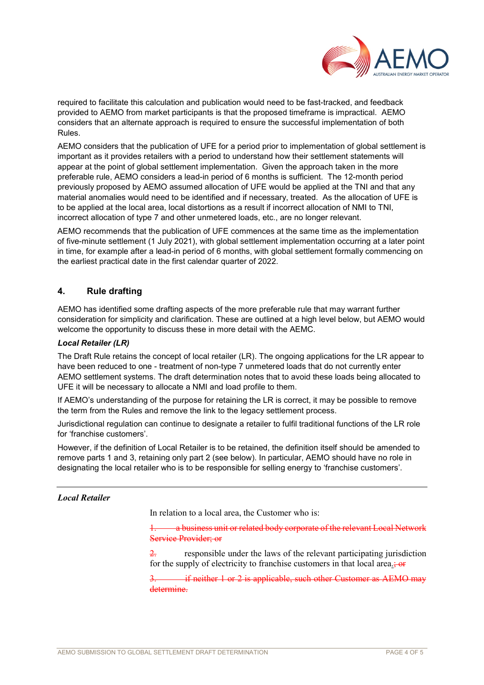

required to facilitate this calculation and publication would need to be fast-tracked, and feedback provided to AEMO from market participants is that the proposed timeframe is impractical. AEMO considers that an alternate approach is required to ensure the successful implementation of both Rules.

AEMO considers that the publication of UFE for a period prior to implementation of global settlement is important as it provides retailers with a period to understand how their settlement statements will appear at the point of global settlement implementation. Given the approach taken in the more preferable rule, AEMO considers a lead-in period of 6 months is sufficient. The 12-month period previously proposed by AEMO assumed allocation of UFE would be applied at the TNI and that any material anomalies would need to be identified and if necessary, treated. As the allocation of UFE is to be applied at the local area, local distortions as a result if incorrect allocation of NMI to TNI, incorrect allocation of type 7 and other unmetered loads, etc., are no longer relevant.

AEMO recommends that the publication of UFE commences at the same time as the implementation of five-minute settlement (1 July 2021), with global settlement implementation occurring at a later point in time, for example after a lead-in period of 6 months, with global settlement formally commencing on the earliest practical date in the first calendar quarter of 2022.

# **4. Rule drafting**

AEMO has identified some drafting aspects of the more preferable rule that may warrant further consideration for simplicity and clarification. These are outlined at a high level below, but AEMO would welcome the opportunity to discuss these in more detail with the AEMC.

#### *Local Retailer (LR)*

The Draft Rule retains the concept of local retailer (LR). The ongoing applications for the LR appear to have been reduced to one - treatment of non-type 7 unmetered loads that do not currently enter AEMO settlement systems. The draft determination notes that to avoid these loads being allocated to UFE it will be necessary to allocate a NMI and load profile to them.

If AEMO's understanding of the purpose for retaining the LR is correct, it may be possible to remove the term from the Rules and remove the link to the legacy settlement process.

Jurisdictional regulation can continue to designate a retailer to fulfil traditional functions of the LR role for 'franchise customers'.

However, if the definition of Local Retailer is to be retained, the definition itself should be amended to remove parts 1 and 3, retaining only part 2 (see below). In particular, AEMO should have no role in designating the local retailer who is to be responsible for selling energy to 'franchise customers'.

## *Local Retailer*

In relation to a local area, the Customer who is:

a business unit or related body corporate of the relevant Local Network Service Provider; or

2. responsible under the laws of the relevant participating jurisdiction for the supply of electricity to franchise customers in that local area.; or

if neither 1 or 2 is applicable, such other Customer as AEMO may determine.